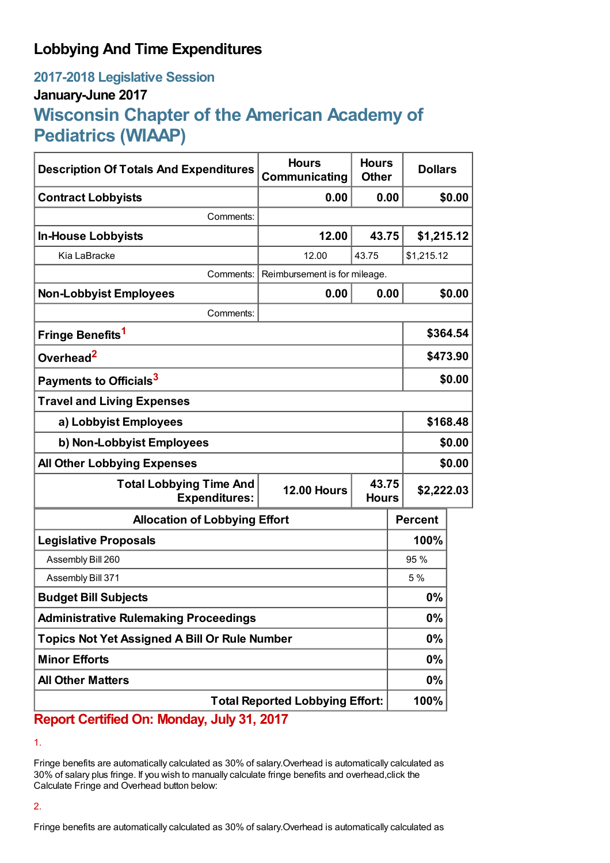## **Lobbying And Time Expenditures**

## **2017-2018 Legislative Session January-June 2017 Wisconsin Chapter of the American Academy of Pediatrics (WIAAP)**

| <b>Description Of Totals And Expenditures</b>          | <b>Hours</b><br>Communicating | <b>Hours</b><br><b>Other</b> | <b>Dollars</b> |            |  |
|--------------------------------------------------------|-------------------------------|------------------------------|----------------|------------|--|
| <b>Contract Lobbyists</b>                              | 0.00                          | 0.00                         |                | \$0.00     |  |
| Comments:                                              |                               |                              |                |            |  |
| <b>In-House Lobbyists</b>                              | 12.00                         | 43.75                        | \$1,215.12     |            |  |
| Kia LaBracke                                           | 12.00                         | 43.75                        | \$1,215.12     |            |  |
| Comments:                                              | Reimbursement is for mileage. |                              |                |            |  |
| <b>Non-Lobbyist Employees</b>                          | 0.00                          | 0.00                         |                | \$0.00     |  |
| Comments:                                              |                               |                              |                |            |  |
| Fringe Benefits <sup>1</sup>                           |                               |                              |                | \$364.54   |  |
| Overhead <sup>2</sup>                                  |                               |                              | \$473.90       |            |  |
| Payments to Officials <sup>3</sup>                     |                               |                              |                | \$0.00     |  |
| <b>Travel and Living Expenses</b>                      |                               |                              |                |            |  |
| a) Lobbyist Employees                                  |                               |                              |                | \$168.48   |  |
| b) Non-Lobbyist Employees                              |                               |                              |                | \$0.00     |  |
| <b>All Other Lobbying Expenses</b>                     |                               |                              |                | \$0.00     |  |
| <b>Total Lobbying Time And</b><br><b>Expenditures:</b> | <b>12.00 Hours</b>            | 43.75<br><b>Hours</b>        |                | \$2,222.03 |  |
| <b>Allocation of Lobbying Effort</b>                   |                               |                              | <b>Percent</b> |            |  |
| <b>Legislative Proposals</b>                           |                               |                              | 100%           |            |  |
| Assembly Bill 260                                      |                               |                              | 95 %           |            |  |
| Assembly Bill 371                                      |                               |                              | 5%             |            |  |
| <b>Budget Bill Subjects</b>                            |                               |                              | 0%             |            |  |
| <b>Administrative Rulemaking Proceedings</b>           |                               |                              | 0%             |            |  |
| <b>Topics Not Yet Assigned A Bill Or Rule Number</b>   |                               |                              | 0%             |            |  |
| <b>Minor Efforts</b>                                   |                               |                              | $0\%$          |            |  |
| <b>All Other Matters</b>                               |                               |                              | 0%             |            |  |
| <b>Total Reported Lobbying Effort:</b>                 |                               |                              | 100%           |            |  |

**Report Certified On: Monday, July 31, 2017**

Fringe benefits are automatically calculated as 30% of salary.Overhead is automatically calculated as 30% of salary plus fringe. If you wish to manually calculate fringe benefits and overhead,click the Calculate Fringe and Overhead button below:

<sup>1.</sup>